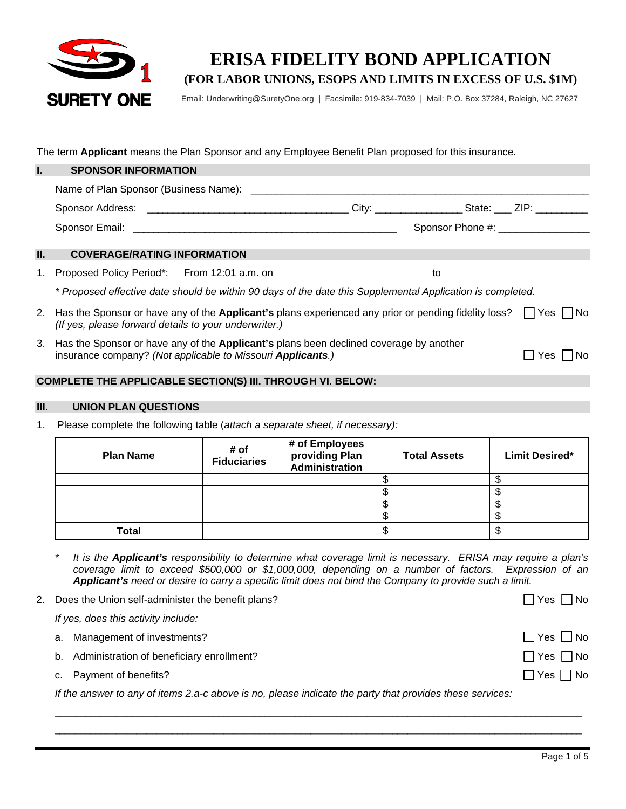

# **ERISA FIDELITY BOND APPLICATION (FOR LABOR UNIONS, ESOPS AND LIMITS IN EXCESS OF U.S. \$1M)**

Email: Underwriting@SuretyOne.org | Facsimile: 919-834-7039 | Mail: P.O. Box 37284, Raleigh, NC 27627

The term **Applicant** means the Plan Sponsor and any Employee Benefit Plan proposed for this insurance.

|     | <b>SPONSOR INFORMATION</b>                                                                                                                                                                   |                                      |
|-----|----------------------------------------------------------------------------------------------------------------------------------------------------------------------------------------------|--------------------------------------|
|     | Name of Plan Sponsor (Business Name): ___________                                                                                                                                            |                                      |
|     | City: _________________________State: _____ ZIP: ____________                                                                                                                                |                                      |
|     |                                                                                                                                                                                              | Sponsor Phone #: ___________________ |
| II. | <b>COVERAGE/RATING INFORMATION</b>                                                                                                                                                           |                                      |
|     | Proposed Policy Period*: From 12:01 a.m. on<br>1.<br>to                                                                                                                                      |                                      |
|     | * Proposed effective date should be within 90 days of the date this Supplemental Application is completed.                                                                                   |                                      |
|     | 2. Has the Sponsor or have any of the <b>Applicant's</b> plans experienced any prior or pending fidelity loss? $\Box$ Yes $\Box$ No<br>(If yes, please forward details to your underwriter.) |                                      |
|     | Has the Sponsor or have any of the Applicant's plans been declined coverage by another<br>3.<br>insurance company? (Not applicable to Missouri Applicants.)                                  | Yes<br>l No                          |

# **COMPLETE THE APPLICABLE SECTION(S) III. THROUGH VI. BELOW:**

## **III. UNION PLAN QUESTIONS**

1. Please complete the following table (*attach a separate sheet, if necessary):*

| <b>Plan Name</b> | # of<br><b>Fiduciaries</b> | # of Employees<br>providing Plan<br>Administration | <b>Total Assets</b> | <b>Limit Desired*</b> |
|------------------|----------------------------|----------------------------------------------------|---------------------|-----------------------|
|                  |                            |                                                    |                     |                       |
|                  |                            |                                                    |                     |                       |
|                  |                            |                                                    |                     |                       |
|                  |                            |                                                    |                     |                       |
| <b>Total</b>     |                            |                                                    |                     | ى                     |

*\* It is the Applicant's responsibility to determine what coverage limit is necessary. ERISA may require a plan's coverage limit to exceed \$500,000 or \$1,000,000, depending on a number of factors. Expression of an Applicant's need or desire to carry a specific limit does not bind the Company to provide such a limit.* 

2. Does the Union self-administer the benefit plans?  $\Box$  Yes  $\Box$  Yes  $\Box$  No

| If yes, does this activity include:          |                      |  |  |  |
|----------------------------------------------|----------------------|--|--|--|
| a. Management of investments?                | $\Box$ Yes $\Box$ No |  |  |  |
| b. Administration of beneficiary enrollment? | $\Box$ Yes $\Box$ No |  |  |  |
| c. Payment of benefits?                      | $\Box$ Yes $\Box$ No |  |  |  |
|                                              |                      |  |  |  |

\_\_\_\_\_\_\_\_\_\_\_\_\_\_\_\_\_\_\_\_\_\_\_\_\_\_\_\_\_\_\_\_\_\_\_\_\_\_\_\_\_\_\_\_\_\_\_\_\_\_\_\_\_\_\_\_\_\_\_\_\_\_\_\_\_\_\_\_\_\_\_\_\_\_\_\_\_\_\_\_\_\_\_\_\_\_\_\_\_\_\_\_\_\_\_\_\_\_\_\_\_\_\_ \_\_\_\_\_\_\_\_\_\_\_\_\_\_\_\_\_\_\_\_\_\_\_\_\_\_\_\_\_\_\_\_\_\_\_\_\_\_\_\_\_\_\_\_\_\_\_\_\_\_\_\_\_\_\_\_\_\_\_\_\_\_\_\_\_\_\_\_\_\_\_\_\_\_\_\_\_\_\_\_\_\_\_\_\_\_\_\_\_\_\_\_\_\_\_\_\_\_\_\_\_\_\_

*If the answer to any of items 2.a-c above is no, please indicate the party that provides these services:*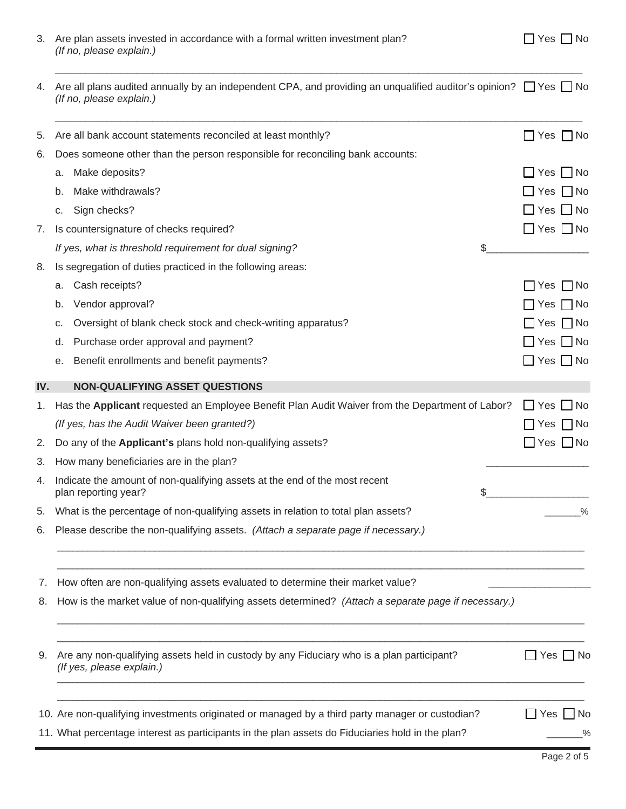|  | N٥ |
|--|----|
|--|----|

| 3. Are plan assets invested in accordance with a formal written investment plan? | $\Box$ Yes $\Box$ No |
|----------------------------------------------------------------------------------|----------------------|
| (If no, please explain.)                                                         |                      |

| 4. Are all plans audited annually by an independent CPA, and providing an unqualified auditor's opinion? $\Box$ Yes $\Box$ No<br>(If no, please explain.) |  |
|-----------------------------------------------------------------------------------------------------------------------------------------------------------|--|
|                                                                                                                                                           |  |

\_\_\_\_\_\_\_\_\_\_\_\_\_\_\_\_\_\_\_\_\_\_\_\_\_\_\_\_\_\_\_\_\_\_\_\_\_\_\_\_\_\_\_\_\_\_\_\_\_\_\_\_\_\_\_\_\_\_\_\_\_\_\_\_\_\_\_\_\_\_\_\_\_\_\_\_\_\_\_\_\_\_\_\_\_\_\_\_\_\_\_\_\_\_\_\_\_\_\_\_\_\_\_

| 5.  | Are all bank account statements reconciled at least monthly?                                                           | $\Box$ Yes $\Box$ No |
|-----|------------------------------------------------------------------------------------------------------------------------|----------------------|
| 6.  | Does someone other than the person responsible for reconciling bank accounts:                                          |                      |
|     | Make deposits?<br>a.                                                                                                   | $\Box$ Yes $\Box$ No |
|     | Make withdrawals?<br>b.                                                                                                | $\Box$ Yes $\Box$ No |
|     | Sign checks?<br>с.                                                                                                     | $\Box$ Yes $\Box$ No |
| 7.  | Is countersignature of checks required?                                                                                | $\Box$ Yes $\Box$ No |
|     | If yes, what is threshold requirement for dual signing?                                                                | \$                   |
| 8.  | Is segregation of duties practiced in the following areas:                                                             |                      |
|     | Cash receipts?<br>а.                                                                                                   | $\Box$ Yes $\Box$ No |
|     | Vendor approval?<br>b.                                                                                                 | $\Box$ No<br>∐ Yes   |
|     | Oversight of blank check stock and check-writing apparatus?<br>с.                                                      | _  Yes  __  No       |
|     | Purchase order approval and payment?<br>d.                                                                             | $\Box$ Yes $\Box$ No |
|     | Benefit enrollments and benefit payments?<br>е.                                                                        | $\Box$ Yes $\Box$ No |
| IV. | <b>NON-QUALIFYING ASSET QUESTIONS</b>                                                                                  |                      |
| 1.  | Has the Applicant requested an Employee Benefit Plan Audit Waiver from the Department of Labor?                        | $\Box$ Yes $\Box$ No |
|     | (If yes, has the Audit Waiver been granted?)                                                                           | ]Yes □ No            |
| 2.  | Do any of the Applicant's plans hold non-qualifying assets?                                                            | $\Box$ Yes $\Box$ No |
| 3.  | How many beneficiaries are in the plan?                                                                                |                      |
| 4.  | Indicate the amount of non-qualifying assets at the end of the most recent<br>plan reporting year?                     | \$                   |
| 5.  | What is the percentage of non-qualifying assets in relation to total plan assets?                                      | $\%$                 |
| 6.  | Please describe the non-qualifying assets. (Attach a separate page if necessary.)                                      |                      |
| 7.  | How often are non-qualifying assets evaluated to determine their market value?                                         |                      |
| 8.  | How is the market value of non-qualifying assets determined? (Attach a separate page if necessary.)                    |                      |
| 9.  | Are any non-qualifying assets held in custody by any Fiduciary who is a plan participant?<br>(If yes, please explain.) | $\Box$ Yes $\Box$ No |
|     | 10. Are non-qualifying investments originated or managed by a third party manager or custodian?                        | $Yes \tN$            |
|     | 11. What percentage interest as participants in the plan assets do Fiduciaries hold in the plan?                       | _%                   |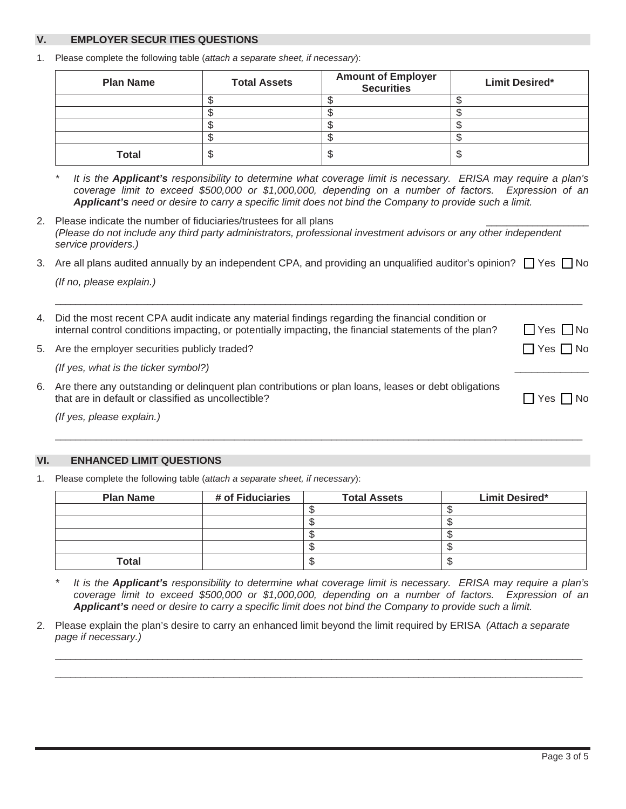# **V. EMPLOYER SECUR ITIES QUESTIONS**

1. Please complete the following table (*attach a separate sheet, if necessary*):

| <b>Plan Name</b> | <b>Total Assets</b> | <b>Amount of Employer</b><br><b>Securities</b> | <b>Limit Desired*</b> |
|------------------|---------------------|------------------------------------------------|-----------------------|
|                  |                     |                                                |                       |
|                  |                     |                                                |                       |
|                  |                     |                                                |                       |
|                  |                     |                                                |                       |
| <b>Total</b>     |                     |                                                | S                     |

*\* It is the Applicant's responsibility to determine what coverage limit is necessary. ERISA may require a plan's coverage limit to exceed \$500,000 or \$1,000,000, depending on a number of factors. Expression of an Applicant's need or desire to carry a specific limit does not bind the Company to provide such a limit.* 

2. Please indicate the number of fiduciaries/trustees for all plans *(Please do not include any third party administrators, professional investment advisors or any other independent service providers.)*

3. Are all plans audited annually by an independent CPA, and providing an unqualified auditor's opinion?  $\Box$  Yes  $\Box$  No *(If no, please explain.)*

|    | 4. Did the most recent CPA audit indicate any material findings regarding the financial condition or<br>internal control conditions impacting, or potentially impacting, the financial statements of the plan? | $\Box$ Yes $\Box$ No |
|----|----------------------------------------------------------------------------------------------------------------------------------------------------------------------------------------------------------------|----------------------|
|    | 5. Are the employer securities publicly traded?                                                                                                                                                                | $\Box$ Yes $\Box$ No |
|    | (If yes, what is the ticker symbol?)                                                                                                                                                                           |                      |
| 6. | Are there any outstanding or delinquent plan contributions or plan loans, leases or debt obligations<br>that are in default or classified as uncollectible?                                                    | l No<br>Yes I        |

*(If yes, please explain.)*

# **ENHANCED LIMIT QUESTIONS**

1. Please complete the following table (*attach a separate sheet, if necessary*):

| <b>Plan Name</b> | # of Fiduciaries | <b>Total Assets</b> | <b>Limit Desired*</b> |
|------------------|------------------|---------------------|-----------------------|
|                  |                  |                     |                       |
|                  |                  |                     |                       |
|                  |                  |                     |                       |
|                  |                  |                     |                       |
| <b>Total</b>     |                  |                     |                       |

\_\_\_\_\_\_\_\_\_\_\_\_\_\_\_\_\_\_\_\_\_\_\_\_\_\_\_\_\_\_\_\_\_\_\_\_\_\_\_\_\_\_\_\_\_\_\_\_\_\_\_\_\_\_\_\_\_\_\_\_\_\_\_\_\_\_\_\_\_\_\_\_\_\_\_\_\_\_\_\_\_\_\_\_\_\_\_\_\_\_\_\_\_\_\_\_\_\_\_\_\_\_\_

*\* It is the Applicant's responsibility to determine what coverage limit is necessary. ERISA may require a plan's coverage limit to exceed \$500,000 or \$1,000,000, depending on a number of factors. Expression of an Applicant's need or desire to carry a specific limit does not bind the Company to provide such a limit.* 

\_\_\_\_\_\_\_\_\_\_\_\_\_\_\_\_\_\_\_\_\_\_\_\_\_\_\_\_\_\_\_\_\_\_\_\_\_\_\_\_\_\_\_\_\_\_\_\_\_\_\_\_\_\_\_\_\_\_\_\_\_\_\_\_\_\_\_\_\_\_\_\_\_\_\_\_\_\_\_\_\_\_\_\_\_\_\_\_\_\_\_\_\_\_\_\_\_\_\_\_\_\_\_ \_\_\_\_\_\_\_\_\_\_\_\_\_\_\_\_\_\_\_\_\_\_\_\_\_\_\_\_\_\_\_\_\_\_\_\_\_\_\_\_\_\_\_\_\_\_\_\_\_\_\_\_\_\_\_\_\_\_\_\_\_\_\_\_\_\_\_\_\_\_\_\_\_\_\_\_\_\_\_\_\_\_\_\_\_\_\_\_\_\_\_\_\_\_\_\_\_\_\_\_\_\_\_

2. Please explain the plan's desire to carry an enhanced limit beyond the limit required by ERISA *(Attach a separate page if necessary.)*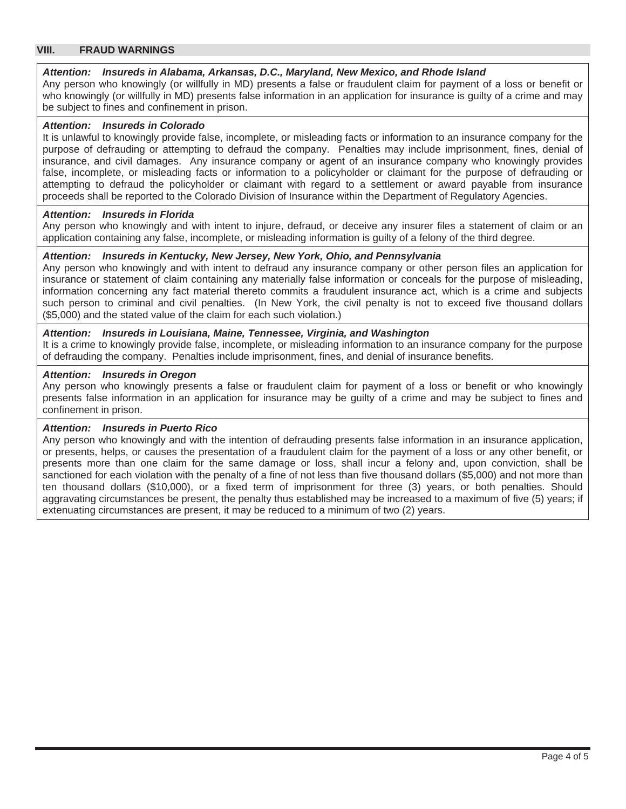## **VIII. FRAUD WARNINGS**

#### *Attention: Insureds in Alabama, Arkansas, D.C., Maryland, New Mexico, and Rhode Island*

Any person who knowingly (or willfully in MD) presents a false or fraudulent claim for payment of a loss or benefit or who knowingly (or willfully in MD) presents false information in an application for insurance is guilty of a crime and may be subject to fines and confinement in prison.

## *Attention: Insureds in Colorado*

It is unlawful to knowingly provide false, incomplete, or misleading facts or information to an insurance company for the purpose of defrauding or attempting to defraud the company. Penalties may include imprisonment, fines, denial of insurance, and civil damages. Any insurance company or agent of an insurance company who knowingly provides false, incomplete, or misleading facts or information to a policyholder or claimant for the purpose of defrauding or attempting to defraud the policyholder or claimant with regard to a settlement or award payable from insurance proceeds shall be reported to the Colorado Division of Insurance within the Department of Regulatory Agencies.

#### *Attention: Insureds in Florida*

Any person who knowingly and with intent to injure, defraud, or deceive any insurer files a statement of claim or an application containing any false, incomplete, or misleading information is guilty of a felony of the third degree.

# *Attention: Insureds in Kentucky, New Jersey, New York, Ohio, and Pennsylvania*

Any person who knowingly and with intent to defraud any insurance company or other person files an application for insurance or statement of claim containing any materially false information or conceals for the purpose of misleading, information concerning any fact material thereto commits a fraudulent insurance act, which is a crime and subjects such person to criminal and civil penalties. (In New York, the civil penalty is not to exceed five thousand dollars (\$5,000) and the stated value of the claim for each such violation.)

#### *Attention: Insureds in Louisiana, Maine, Tennessee, Virginia, and Washington*

It is a crime to knowingly provide false, incomplete, or misleading information to an insurance company for the purpose of defrauding the company. Penalties include imprisonment, fines, and denial of insurance benefits.

## *Attention: Insureds in Oregon*

Any person who knowingly presents a false or fraudulent claim for payment of a loss or benefit or who knowingly presents false information in an application for insurance may be guilty of a crime and may be subject to fines and confinement in prison.

#### *Attention: Insureds in Puerto Rico*

Any person who knowingly and with the intention of defrauding presents false information in an insurance application, or presents, helps, or causes the presentation of a fraudulent claim for the payment of a loss or any other benefit, or presents more than one claim for the same damage or loss, shall incur a felony and, upon conviction, shall be sanctioned for each violation with the penalty of a fine of not less than five thousand dollars (\$5,000) and not more than ten thousand dollars (\$10,000), or a fixed term of imprisonment for three (3) years, or both penalties. Should aggravating circumstances be present, the penalty thus established may be increased to a maximum of five (5) years; if extenuating circumstances are present, it may be reduced to a minimum of two (2) years.